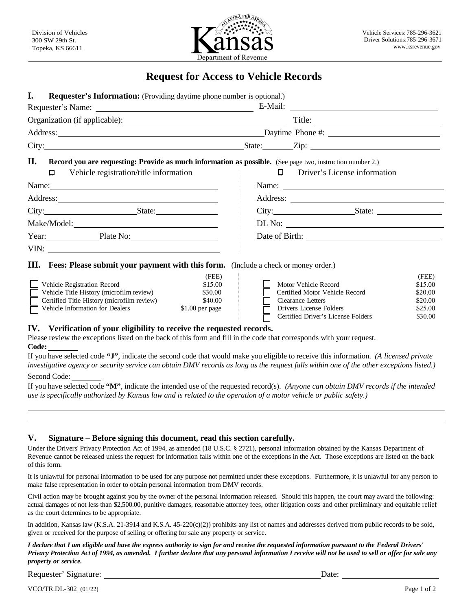

## **Request for Access to Vehicle Records**

| I.<br><b>Requester's Information:</b> (Providing daytime phone number is optional.)                                                                                                                                            |                 |                                                                                                                                                                                                                                                                                                                                                                                                               |                                                               |                              |                    |  |
|--------------------------------------------------------------------------------------------------------------------------------------------------------------------------------------------------------------------------------|-----------------|---------------------------------------------------------------------------------------------------------------------------------------------------------------------------------------------------------------------------------------------------------------------------------------------------------------------------------------------------------------------------------------------------------------|---------------------------------------------------------------|------------------------------|--------------------|--|
|                                                                                                                                                                                                                                |                 |                                                                                                                                                                                                                                                                                                                                                                                                               |                                                               |                              |                    |  |
|                                                                                                                                                                                                                                |                 |                                                                                                                                                                                                                                                                                                                                                                                                               |                                                               |                              |                    |  |
|                                                                                                                                                                                                                                |                 |                                                                                                                                                                                                                                                                                                                                                                                                               |                                                               |                              |                    |  |
| City: State: Zip: Zip:                                                                                                                                                                                                         |                 |                                                                                                                                                                                                                                                                                                                                                                                                               |                                                               |                              |                    |  |
| П.<br><b>Record you are requesting: Provide as much information as possible.</b> (See page two, instruction number 2.)                                                                                                         |                 |                                                                                                                                                                                                                                                                                                                                                                                                               |                                                               |                              |                    |  |
| $\Box$<br>Vehicle registration/title information                                                                                                                                                                               |                 |                                                                                                                                                                                                                                                                                                                                                                                                               | $\Box$                                                        | Driver's License information |                    |  |
| Name:                                                                                                                                                                                                                          |                 | Name: $\frac{1}{\sqrt{1-\frac{1}{2}}\sqrt{1-\frac{1}{2}}\sqrt{1-\frac{1}{2}}\sqrt{1-\frac{1}{2}}\sqrt{1-\frac{1}{2}}\sqrt{1-\frac{1}{2}}\sqrt{1-\frac{1}{2}}\sqrt{1-\frac{1}{2}}\sqrt{1-\frac{1}{2}}\sqrt{1-\frac{1}{2}}\sqrt{1-\frac{1}{2}}\sqrt{1-\frac{1}{2}}\sqrt{1-\frac{1}{2}}\sqrt{1-\frac{1}{2}}\sqrt{1-\frac{1}{2}}\sqrt{1-\frac{1}{2}}\sqrt{1-\frac{1}{2}}\sqrt{1-\frac{1}{2}}\sqrt{1-\frac{1}{2}}$ |                                                               |                              |                    |  |
| Address: Note and the set of the set of the set of the set of the set of the set of the set of the set of the set of the set of the set of the set of the set of the set of the set of the set of the set of the set of the se |                 |                                                                                                                                                                                                                                                                                                                                                                                                               |                                                               |                              |                    |  |
| City: State:                                                                                                                                                                                                                   |                 |                                                                                                                                                                                                                                                                                                                                                                                                               | City: State:                                                  |                              |                    |  |
|                                                                                                                                                                                                                                |                 |                                                                                                                                                                                                                                                                                                                                                                                                               | DL No:                                                        |                              |                    |  |
| Year: Plate No:                                                                                                                                                                                                                |                 |                                                                                                                                                                                                                                                                                                                                                                                                               |                                                               |                              |                    |  |
|                                                                                                                                                                                                                                |                 |                                                                                                                                                                                                                                                                                                                                                                                                               |                                                               |                              |                    |  |
| <b>III.</b> Fees: Please submit your payment with this form. (Include a check or money order.)                                                                                                                                 |                 |                                                                                                                                                                                                                                                                                                                                                                                                               |                                                               |                              |                    |  |
|                                                                                                                                                                                                                                | (FEE)           |                                                                                                                                                                                                                                                                                                                                                                                                               |                                                               |                              | (FEE)              |  |
| Vehicle Registration Record                                                                                                                                                                                                    | \$15.00         |                                                                                                                                                                                                                                                                                                                                                                                                               | Motor Vehicle Record                                          |                              | \$15.00            |  |
| Vehicle Title History (microfilm review)                                                                                                                                                                                       | \$30.00         |                                                                                                                                                                                                                                                                                                                                                                                                               | Certified Motor Vehicle Record                                |                              | \$20.00            |  |
| Certified Title History (microfilm review)                                                                                                                                                                                     | \$40.00         |                                                                                                                                                                                                                                                                                                                                                                                                               | <b>Clearance Letters</b>                                      |                              | \$20.00            |  |
| Vehicle Information for Dealers                                                                                                                                                                                                | \$1.00 per page |                                                                                                                                                                                                                                                                                                                                                                                                               | Drivers License Folders<br>Certified Driver's License Folders |                              | \$25.00<br>\$30.00 |  |
| IV. Verification of your eligibility to receive the requested records.                                                                                                                                                         |                 |                                                                                                                                                                                                                                                                                                                                                                                                               |                                                               |                              |                    |  |
| Dlagge rayiou the exacutions listed on the heals of this form and fill in the each that corresponds with your request                                                                                                          |                 |                                                                                                                                                                                                                                                                                                                                                                                                               |                                                               |                              |                    |  |

Please review the exceptions listed on the back of this form and fill in the code that corresponds with your request. **Code:**

If you have selected code **"J"**, indicate the second code that would make you eligible to receive this information. *(A licensed private investigative agency or security service can obtain DMV records as long as the request falls within one of the other exceptions listed.)*

Second Code:

If you have selected code **"M"**, indicate the intended use of the requested record(s). *(Anyone can obtain DMV records if the intended use is specifically authorized by Kansas law and is related to the operation of a motor vehicle or public safety.)*

## **V. Signature – Before signing this document, read this section carefully.**

Under the Drivers' Privacy Protection Act of 1994, as amended (18 U.S.C. § 2721), personal information obtained by the Kansas Department of Revenue cannot be released unless the request for information falls within one of the exceptions in the Act. Those exceptions are listed on the back of this form.

It is unlawful for personal information to be used for any purpose not permitted under these exceptions. Furthermore, it is unlawful for any person to make false representation in order to obtain personal information from DMV records.

Civil action may be brought against you by the owner of the personal information released. Should this happen, the court may award the following: actual damages of not less than \$2,500.00, punitive damages, reasonable attorney fees, other litigation costs and other preliminary and equitable relief as the court determines to be appropriate.

In addition, Kansas law (K.S.A. 21-3914 and K.S.A. 45-220(c)(2)) prohibits any list of names and addresses derived from public records to be sold, given or received for the purpose of selling or offering for sale any property or service.

*I declare that I am eligible and have the express authority to sign for and receive the requested information pursuant to the Federal Drivers' Privacy Protection Act of 1994, as amended. I further declare that any personal information I receive will not be used to sell or offer for sale any property or service.*

Requester' Signature: Date: Date:

VCO/TR.DL-302 (01/22) Page 1 of 2